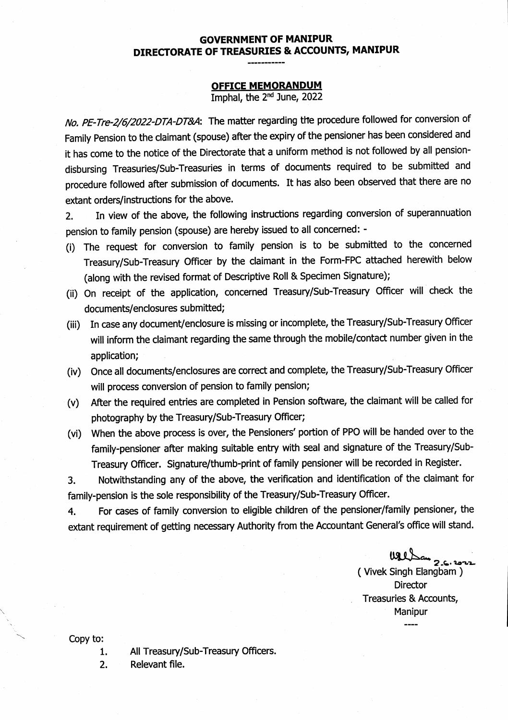## GOVERNMENT OF MANIPUR DIRECTORATE OF TREASURIES & ACCOUNTS, MANIPUR

## OFFICE MEMORANDUM

Imphal, the 2nd June, 2022

No. PE-Tre-2/6/2022-DTA-DT&A: The matter regarding the procedure followed for conversion of Family Pension to the claimant (spouse) after the expiry of the pensioner has been considered and it has come to the notice of the Directorate that a uniform method is not followed by all pensiondisbursing Treasuries/Sub-Treasuries in terms of documents required to be submitted and procedure followed after submission of documents. It has also been observed that there are no extant orders/instructions for the above.

2. In view of the above, the following instructions regarding conversion of superannuation pension to family pension (spouse) are hereby issued to all concerned: -

- (i) The request for conversion to family pension is to be submitted to the concerned Treasury/Sub-Treasury Officer by the claimant in the Form-FPC attached herewith below (along with the revised format of Descriptive Roll & Specimen Signature);
- (ii) On receipt of the application, concerned Treasury/Sub-Treasury Officer will check the documents/enclosures submitted;
- (iii) In case any document/enclosure is missing or incomplete, the Treasury/Sub-Treasury Officer will inform the claimant regarding the same through the mobile/contact number given in the application;
- (iv) Once all documents/enclosures are correct and complete, the Treasury/Sub-Treasury Officer will process conversion of pension to family pension;
- (v) After the required entries are completed in Pension software, the claimant will be called for photography by the Treasury/Sub-Treasury Officer;
- (vi) When the above process is over, the Pensioners' portion of PPO will be handed over to the family-pensioner after making suitable entry with seal and signature of the Treasury/Sub-Treasury Officer. Signature/thumb-print of family pensioner will be recorded in Register.

3. Notwithstanding any of the above, the verification and identification of the claimant for family-pension is the sole responsibility of the Treasury/Sub-Treasury Officer.

4. For cases of family conversion to eligible children of the pensioner/family pensioner, the extant requirement of getting necessary Authority from the Accountant General's office will stand.

الکامہ ہے۔<br>( Vivek Singh Elangbam ) **Director** Treasuries & Accounts, Manipur

Copy to:

- 1. All Treasury/Sub-Treasury Officers.
- 2. Relevant file.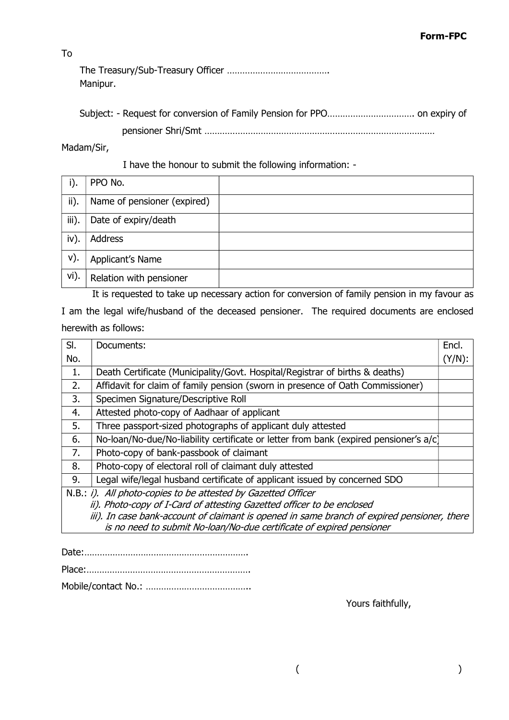To

The Treasury/Sub-Treasury Officer …………………………………. Manipur.

Madam/Sir,

I have the honour to submit the following information: -

| i).   | PPO No.                     |  |
|-------|-----------------------------|--|
| ii).  | Name of pensioner (expired) |  |
| iii). | Date of expiry/death        |  |
| iv).  | Address                     |  |
| V).   | Applicant's Name            |  |
| vi).  | Relation with pensioner     |  |

 It is requested to take up necessary action for conversion of family pension in my favour as I am the legal wife/husband of the deceased pensioner. The required documents are enclosed herewith as follows:

| SI.                                                                                         | Documents:                                                                            | Encl.     |
|---------------------------------------------------------------------------------------------|---------------------------------------------------------------------------------------|-----------|
| No.                                                                                         |                                                                                       | $(Y/N)$ : |
| 1.                                                                                          | Death Certificate (Municipality/Govt. Hospital/Registrar of births & deaths)          |           |
| 2.                                                                                          | Affidavit for claim of family pension (sworn in presence of Oath Commissioner)        |           |
| 3.                                                                                          | Specimen Signature/Descriptive Roll                                                   |           |
| 4.                                                                                          | Attested photo-copy of Aadhaar of applicant                                           |           |
| 5.                                                                                          | Three passport-sized photographs of applicant duly attested                           |           |
| 6.                                                                                          | No-loan/No-due/No-liability certificate or letter from bank (expired pensioner's a/c) |           |
| 7.                                                                                          | Photo-copy of bank-passbook of claimant                                               |           |
| 8.                                                                                          | Photo-copy of electoral roll of claimant duly attested                                |           |
| 9.                                                                                          | Legal wife/legal husband certificate of applicant issued by concerned SDO             |           |
| N.B.: i). All photo-copies to be attested by Gazetted Officer                               |                                                                                       |           |
|                                                                                             | ii). Photo-copy of I-Card of attesting Gazetted officer to be enclosed                |           |
| iii). In case bank-account of claimant is opened in same branch of expired pensioner, there |                                                                                       |           |
|                                                                                             | is no need to submit No-loan/No-due certificate of expired pensioner                  |           |

Yours faithfully,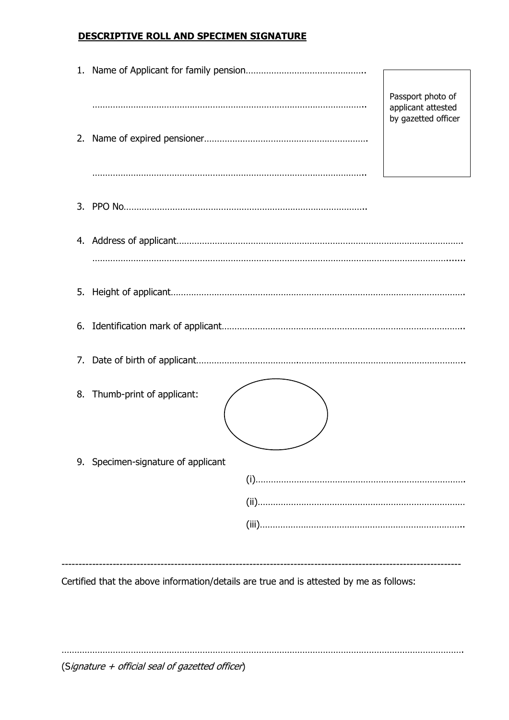## DESCRIPTIVE ROLL AND SPECIMEN SIGNATURE

|                | Passport photo of<br>applicant attested<br>by gazetted officer                          |  |
|----------------|-----------------------------------------------------------------------------------------|--|
| 2.             |                                                                                         |  |
| 3 <sub>1</sub> |                                                                                         |  |
|                |                                                                                         |  |
| 5.             |                                                                                         |  |
| 6.             |                                                                                         |  |
| 7.             |                                                                                         |  |
| 8.             | Thumb-print of applicant:                                                               |  |
| 9.             | Specimen-signature of applicant                                                         |  |
|                |                                                                                         |  |
|                |                                                                                         |  |
|                |                                                                                         |  |
|                | Certified that the above information/details are true and is attested by me as follows: |  |

………………………………………………………………………………………………………………………………………….

(Signature + official seal of gazetted officer)